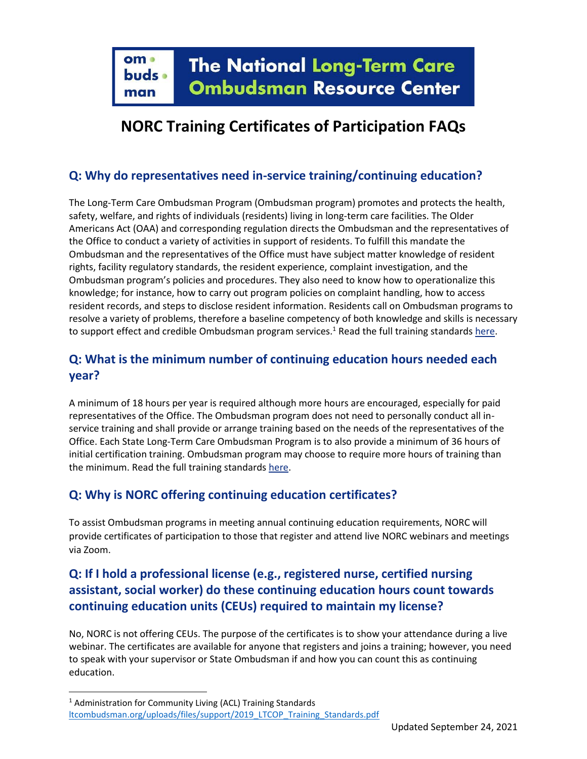# **NORC Training Certificates of Participation FAQs**

#### **Q: Why do representatives need in-service training/continuing education?**

The Long-Term Care Ombudsman Program (Ombudsman program) promotes and protects the health, safety, welfare, and rights of individuals (residents) living in long-term care facilities. The Older Americans Act (OAA) and corresponding regulation directs the Ombudsman and the representatives of the Office to conduct a variety of activities in support of residents. To fulfill this mandate the Ombudsman and the representatives of the Office must have subject matter knowledge of resident rights, facility regulatory standards, the resident experience, complaint investigation, and the Ombudsman program's policies and procedures. They also need to know how to operationalize this knowledge; for instance, how to carry out program policies on complaint handling, how to access resident records, and steps to disclose resident information. Residents call on Ombudsman programs to resolve a variety of problems, therefore a baseline competency of both knowledge and skills is necessary to support effect and credible Ombudsman program services.<sup>1</sup> Read the full training standard[s here.](https://ltcombudsman.org/uploads/files/support/2019_LTCOP_Training_Standards.pdf)

## **Q: What is the minimum number of continuing education hours needed each year?**

A minimum of 18 hours per year is required although more hours are encouraged, especially for paid representatives of the Office. The Ombudsman program does not need to personally conduct all inservice training and shall provide or arrange training based on the needs of the representatives of the Office. Each State Long-Term Care Ombudsman Program is to also provide a minimum of 36 hours of initial certification training. Ombudsman program may choose to require more hours of training than the minimum. Read the full training standards [here.](https://ltcombudsman.org/uploads/files/support/2019_LTCOP_Training_Standards.pdf)

### **Q: Why is NORC offering continuing education certificates?**

To assist Ombudsman programs in meeting annual continuing education requirements, NORC will provide certificates of participation to those that register and attend live NORC webinars and meetings via Zoom.

## **Q: If I hold a professional license (e.g., registered nurse, certified nursing assistant, social worker) do these continuing education hours count towards continuing education units (CEUs) required to maintain my license?**

No, NORC is not offering CEUs. The purpose of the certificates is to show your attendance during a live webinar. The certificates are available for anyone that registers and joins a training; however, you need to speak with your supervisor or State Ombudsman if and how you can count this as continuing education.

<sup>&</sup>lt;sup>1</sup> Administration for Community Living (ACL) Training Standards [ltcombudsman.org/uploads/files/support/2019\\_LTCOP\\_Training\\_Standards.pdf](https://ltcombudsman.org/uploads/files/support/2019_LTCOP_Training_Standards.pdf)